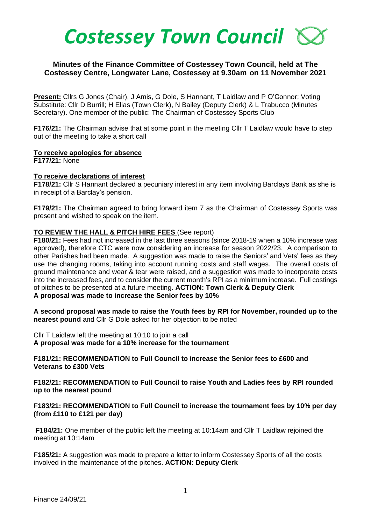

## **Minutes of the Finance Committee of Costessey Town Council, held at The Costessey Centre, Longwater Lane, Costessey at 9.30am on 11 November 2021**

**Present:** Cllrs G Jones (Chair), J Amis, G Dole, S Hannant, T Laidlaw and P O'Connor; Voting Substitute: Cllr D Burrill; H Elias (Town Clerk), N Bailey (Deputy Clerk) & L Trabucco (Minutes Secretary). One member of the public: The Chairman of Costessey Sports Club

**F176/21:** The Chairman advise that at some point in the meeting Cllr T Laidlaw would have to step out of the meeting to take a short call

#### **To receive apologies for absence**

**F177/21:** None

#### **To receive declarations of interest**

**F178/21:** Cllr S Hannant declared a pecuniary interest in any item involving Barclays Bank as she is in receipt of a Barclay's pension.

**F179/21:** The Chairman agreed to bring forward item 7 as the Chairman of Costessey Sports was present and wished to speak on the item.

#### **TO REVIEW THE HALL & PITCH HIRE FEES** (See report)

**F180/21:** Fees had not increased in the last three seasons (since 2018-19 when a 10% increase was approved), therefore CTC were now considering an increase for season 2022/23. A comparison to other Parishes had been made. A suggestion was made to raise the Seniors' and Vets' fees as they use the changing rooms, taking into account running costs and staff wages. The overall costs of ground maintenance and wear & tear were raised, and a suggestion was made to incorporate costs into the increased fees, and to consider the current month's RPI as a minimum increase. Full costings of pitches to be presented at a future meeting. **ACTION: Town Clerk & Deputy Clerk A proposal was made to increase the Senior fees by 10%** 

**A second proposal was made to raise the Youth fees by RPI for November, rounded up to the nearest pound** and Cllr G Dole asked for her objection to be noted

Cllr T Laidlaw left the meeting at 10:10 to join a call **A proposal was made for a 10% increase for the tournament**

**F181/21: RECOMMENDATION to Full Council to increase the Senior fees to £600 and Veterans to £300 Vets**

**F182/21: RECOMMENDATION to Full Council to raise Youth and Ladies fees by RPI rounded up to the nearest pound**

### **F183/21: RECOMMENDATION to Full Council to increase the tournament fees by 10% per day (from £110 to £121 per day)**

**F184/21:** One member of the public left the meeting at 10:14am and Cllr T Laidlaw rejoined the meeting at 10:14am

**F185/21:** A suggestion was made to prepare a letter to inform Costessey Sports of all the costs involved in the maintenance of the pitches. **ACTION: Deputy Clerk**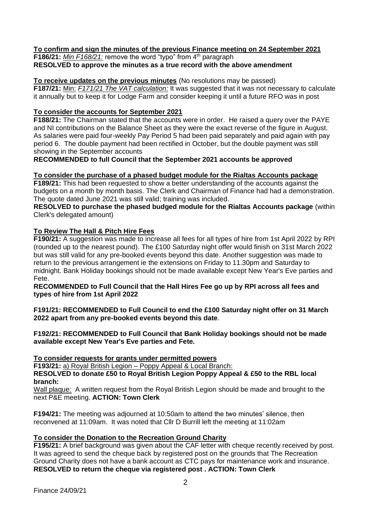## **To confirm and sign the minutes of the previous Finance meeting on 24 September 2021**

**F186/21:** Min F168/21: remove the word "typo" from 4<sup>th</sup> paragraph **RESOLVED to approve the minutes as a true record with the above amendment**

# **To receive updates on the previous minutes** (No resolutions may be passed)

**F187/21:** Min: *F171/21 The VAT calculation:* It was suggested that it was not necessary to calculate it annually but to keep it for Lodge Farm and consider keeping it until a future RFO was in post

## **To consider the accounts for September 2021**

**F188/21:** The Chairman stated that the accounts were in order. He raised a query over the PAYE and NI contributions on the Balance Sheet as they were the exact reverse of the figure in August. As salaries were paid four-weekly Pay Period 5 had been paid separately and paid again with pay period 6. The double payment had been rectified in October, but the double payment was still showing in the September accounts

**RECOMMENDED to full Council that the September 2021 accounts be approved**

## **To consider the purchase of a phased budget module for the Rialtas Accounts package**

**F189/21:** This had been requested to show a better understanding of the accounts against the budgets on a month by month basis. The Clerk and Chairman of Finance had had a demonstration. The quote dated June 2021 was still valid; training was included.

**RESOLVED to purchase the phased budged module for the Rialtas Accounts package** (within Clerk's delegated amount)

# **To Review The Hall & Pitch Hire Fees**

**F190/21:** A suggestion was made to increase all fees for all types of hire from 1st April 2022 by RPI (rounded up to the nearest pound). The £100 Saturday night offer would finish on 31st March 2022 but was still valid for any pre-booked events beyond this date. Another suggestion was made to return to the previous arrangement ie the extensions on Friday to 11.30pm and Saturday to midnight. Bank Holiday bookings should not be made available except New Year's Eve parties and Fete.

**RECOMMENDED to Full Council that the Hall Hires Fee go up by RPI across all fees and types of hire from 1st April 2022**

**F191/21: RECOMMENDED to Full Council to end the £100 Saturday night offer on 31 March 2022 apart from any pre-booked events beyond this date**.

**F192/21: RECOMMENDED to Full Council that Bank Holiday bookings should not be made available except New Year's Eve parties and Fete.**

**To consider requests for grants under permitted powers**

**F193/21:** a) Royal British Legion – Poppy Appeal & Local Branch:

**RESOLVED to donate £50 to Royal British Legion Poppy Appeal & £50 to the RBL local branch:** 

Wall plaque: A written request from the Royal British Legion should be made and brought to the next P&E meeting. **ACTION: Town Clerk**

**F194/21:** The meeting was adjourned at 10:50am to attend the two minutes' silence, then reconvened at 11:09am. It was noted that Cllr D Burrill left the meeting at 11:02am

# **To consider the Donation to the Recreation Ground Charity**

**F195/21:** A brief background was given about the CAF letter with cheque recently received by post. It was agreed to send the cheque back by registered post on the grounds that The Recreation Ground Charity does not have a bank account as CTC pays for maintenance work and insurance. **RESOLVED to return the cheque via registered post . ACTION: Town Clerk**